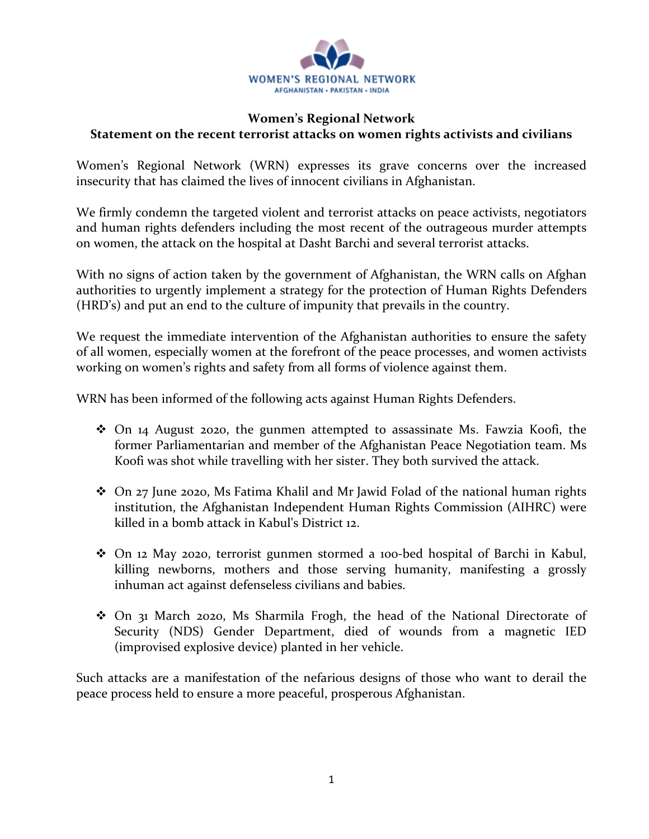

## **Women's Regional Network Statement on the recent terrorist attacks on women rights activists and civilians**

Women's Regional Network (WRN) expresses its grave concerns over the increased insecurity that has claimed the lives of innocent civilians in Afghanistan.

We firmly condemn the targeted violent and terrorist attacks on peace activists, negotiators and human rights defenders including the most recent of the outrageous murder attempts on women, the attack on the hospital at Dasht Barchi and several terrorist attacks.

With no signs of action taken by the government of Afghanistan, the WRN calls on Afghan authorities to urgently implement a strategy for the protection of Human Rights Defenders (HRD's) and put an end to the culture of impunity that prevails in the country.

We request the immediate intervention of the Afghanistan authorities to ensure the safety of all women, especially women at the forefront of the peace processes, and women activists working on women's rights and safety from all forms of violence against them.

WRN has been informed of the following acts against Human Rights Defenders.

- On 14 August 2020, the gunmen attempted to assassinate Ms. Fawzia Koofi, the former Parliamentarian and member of the Afghanistan Peace Negotiation team. Ms Koofi was shot while travelling with her sister. They both survived the attack.
- On 27 June 2020, Ms Fatima Khalil and Mr Jawid Folad of the national human rights institution, the Afghanistan Independent Human Rights Commission (AIHRC) were killed in a bomb attack in Kabul's District 12.
- On 12 May 2020, terrorist gunmen stormed a 100-bed hospital of Barchi in Kabul, killing newborns, mothers and those serving humanity, manifesting a grossly inhuman act against defenseless civilians and babies.
- On 31 March 2020, Ms Sharmila Frogh, the head of the National Directorate of Security (NDS) Gender Department, died of wounds from a magnetic IED (improvised explosive device) planted in her vehicle.

Such attacks are a manifestation of the nefarious designs of those who want to derail the peace process held to ensure a more peaceful, prosperous Afghanistan.